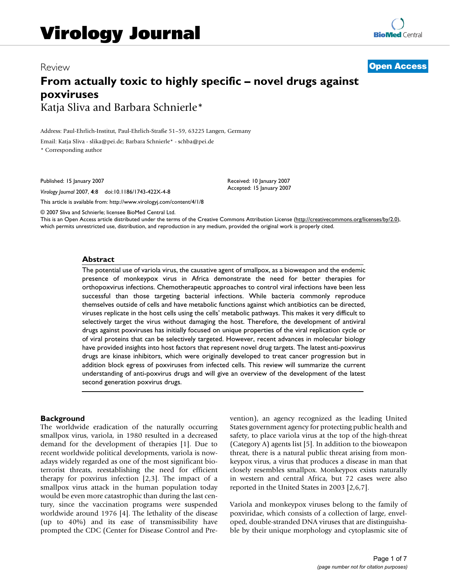# Review **[Open Access](http://www.biomedcentral.com/info/about/charter/) From actually toxic to highly specific – novel drugs against poxviruses** Katja Sliva and Barbara Schnierle\*

Address: Paul-Ehrlich-Institut, Paul-Ehrlich-Straße 51–59, 63225 Langen, Germany

Email: Katja Sliva - slika@pei.de; Barbara Schnierle\* - schba@pei.de

\* Corresponding author

Published: 15 January 2007

*Virology Journal* 2007, **4**:8 doi:10.1186/1743-422X-4-8

[This article is available from: http://www.virologyj.com/content/4/1/8](http://www.virologyj.com/content/4/1/8)

© 2007 Sliva and Schnierle; licensee BioMed Central Ltd.

This is an Open Access article distributed under the terms of the Creative Commons Attribution License [\(http://creativecommons.org/licenses/by/2.0\)](http://creativecommons.org/licenses/by/2.0), which permits unrestricted use, distribution, and reproduction in any medium, provided the original work is properly cited.

Received: 10 January 2007 Accepted: 15 January 2007

#### **Abstract**

The potential use of variola virus, the causative agent of smallpox, as a bioweapon and the endemic presence of monkeypox virus in Africa demonstrate the need for better therapies for orthopoxvirus infections. Chemotherapeutic approaches to control viral infections have been less successful than those targeting bacterial infections. While bacteria commonly reproduce themselves outside of cells and have metabolic functions against which antibiotics can be directed, viruses replicate in the host cells using the cells' metabolic pathways. This makes it very difficult to selectively target the virus without damaging the host. Therefore, the development of antiviral drugs against poxviruses has initially focused on unique properties of the viral replication cycle or of viral proteins that can be selectively targeted. However, recent advances in molecular biology have provided insights into host factors that represent novel drug targets. The latest anti-poxvirus drugs are kinase inhibitors, which were originally developed to treat cancer progression but in addition block egress of poxviruses from infected cells. This review will summarize the current understanding of anti-poxvirus drugs and will give an overview of the development of the latest second generation poxvirus drugs.

## **Background**

The worldwide eradication of the naturally occurring smallpox virus, variola, in 1980 resulted in a decreased demand for the development of therapies [1]. Due to recent worldwide political developments, variola is nowadays widely regarded as one of the most significant bioterrorist threats, reestablishing the need for efficient therapy for poxvirus infection [2,3]. The impact of a smallpox virus attack in the human population today would be even more catastrophic than during the last century, since the vaccination programs were suspended worldwide around 1976 [4]. The lethality of the disease (up to 40%) and its ease of transmissibility have prompted the CDC (Center for Disease Control and Prevention), an agency recognized as the leading United States government agency for protecting public health and safety, to place variola virus at the top of the high-threat (Category A) agents list [5]. In addition to the bioweapon threat, there is a natural public threat arising from monkeypox virus, a virus that produces a disease in man that closely resembles smallpox. Monkeypox exists naturally in western and central Africa, but 72 cases were also reported in the United States in 2003 [2,6,7].

Variola and monkeypox viruses belong to the family of poxviridae, which consists of a collection of large, enveloped, double-stranded DNA viruses that are distinguishable by their unique morphology and cytoplasmic site of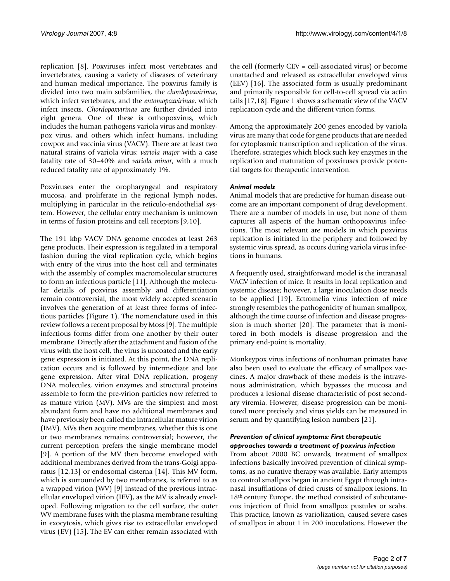replication [8]. Poxviruses infect most vertebrates and invertebrates, causing a variety of diseases of veterinary and human medical importance. The poxvirus family is divided into two main subfamilies, the *chordopoxvirinae*, which infect vertebrates, and the *entomopoxvirinae*, which infect insects. *Chordopoxvirinae* are further divided into eight genera. One of these is orthopoxvirus, which includes the human pathogens variola virus and monkeypox virus, and others which infect humans, including cowpox and vaccinia virus (VACV). There are at least two natural strains of variola virus: *variola major* with a case fatality rate of 30–40% and *variola minor*, with a much reduced fatality rate of approximately 1%.

Poxviruses enter the oropharyngeal and respiratory mucosa, and proliferate in the regional lymph nodes, multiplying in particular in the reticulo-endothelial system. However, the cellular entry mechanism is unknown in terms of fusion proteins and cell receptors [9,10].

The 191 kbp VACV DNA genome encodes at least 263 gene products. Their expression is regulated in a temporal fashion during the viral replication cycle, which begins with entry of the virus into the host cell and terminates with the assembly of complex macromolecular structures to form an infectious particle [11]. Although the molecular details of poxvirus assembly and differentiation remain controversial, the most widely accepted scenario involves the generation of at least three forms of infectious particles (Figure 1). The nomenclature used in this review follows a recent proposal by Moss [9]. The multiple infectious forms differ from one another by their outer membrane. Directly after the attachment and fusion of the virus with the host cell, the virus is uncoated and the early gene expression is initiated. At this point, the DNA replication occurs and is followed by intermediate and late gene expression. After viral DNA replication, progeny DNA molecules, virion enzymes and structural proteins assemble to form the pre-virion particles now referred to as mature virion (MV). MVs are the simplest and most abundant form and have no additional membranes and have previously been called the intracellular mature virion (IMV). MVs then acquire membranes, whether this is one or two membranes remains controversial; however, the current perception prefers the single membrane model [9]. A portion of the MV then become enveloped with additional membranes derived from the trans-Golgi apparatus [12,13] or endosomal cisterna [14]. This MV form, which is surrounded by two membranes, is referred to as a wrapped virion (WV) [9] instead of the previous intracellular enveloped virion (IEV), as the MV is already enveloped. Following migration to the cell surface, the outer WV membrane fuses with the plasma membrane resulting in exocytosis, which gives rise to extracellular enveloped virus (EV) [15]. The EV can either remain associated with

the cell (formerly CEV = cell-associated virus) or become unattached and released as extracellular enveloped virus (EEV) [16]. The associated form is usually predominant and primarily responsible for cell-to-cell spread via actin tails [17,18]. Figure 1 shows a schematic view of the VACV replication cycle and the different virion forms.

Among the approximately 200 genes encoded by variola virus are many that code for gene products that are needed for cytoplasmic transcription and replication of the virus. Therefore, strategies which block such key enzymes in the replication and maturation of poxviruses provide potential targets for therapeutic intervention.

### *Animal models*

Animal models that are predictive for human disease outcome are an important component of drug development. There are a number of models in use, but none of them captures all aspects of the human orthopoxvirus infections. The most relevant are models in which poxvirus replication is initiated in the periphery and followed by systemic virus spread, as occurs during variola virus infections in humans.

A frequently used, straightforward model is the intranasal VACV infection of mice. It results in local replication and systemic disease; however, a large inoculation dose needs to be applied [19]. Ectromelia virus infection of mice strongly resembles the pathogenicity of human smallpox, although the time course of infection and disease progression is much shorter [20]. The parameter that is monitored in both models is disease progression and the primary end-point is mortality.

Monkeypox virus infections of nonhuman primates have also been used to evaluate the efficacy of smallpox vaccines. A major drawback of these models is the intravenous administration, which bypasses the mucosa and produces a lesional disease characteristic of post secondary viremia. However, disease progression can be monitored more precisely and virus yields can be measured in serum and by quantifying lesion numbers [21].

## *Prevention of clinical symptoms: First therapeutic approaches towards a treatment of poxvirus infection*

From about 2000 BC onwards, treatment of smallpox infections basically involved prevention of clinical symptoms, as no curative therapy was available. Early attempts to control smallpox began in ancient Egypt through intranasal insufflations of dried crusts of smallpox lesions. In 18th century Europe, the method consisted of subcutaneous injection of fluid from smallpox pustules or scabs. This practice, known as variolization, caused severe cases of smallpox in about 1 in 200 inoculations. However the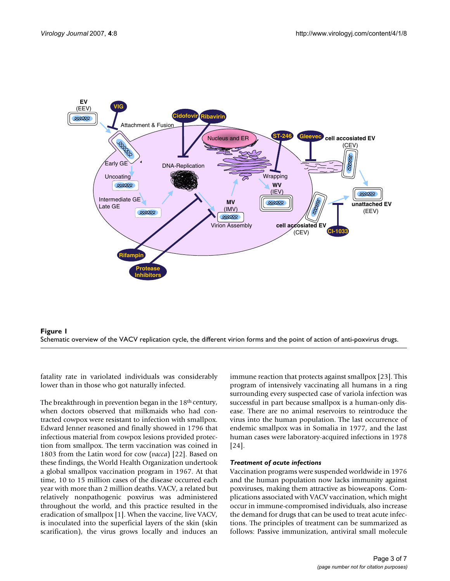



fatality rate in variolated individuals was considerably lower than in those who got naturally infected.

The breakthrough in prevention began in the 18<sup>th</sup> century, when doctors observed that milkmaids who had contracted cowpox were resistant to infection with smallpox. Edward Jenner reasoned and finally showed in 1796 that infectious material from cowpox lesions provided protection from smallpox. The term vaccination was coined in 1803 from the Latin word for cow (*vacca*) [22]. Based on these findings, the World Health Organization undertook a global smallpox vaccination program in 1967. At that time, 10 to 15 million cases of the disease occurred each year with more than 2 million deaths. VACV, a related but relatively nonpathogenic poxvirus was administered throughout the world, and this practice resulted in the eradication of smallpox [1]. When the vaccine, live VACV, is inoculated into the superficial layers of the skin (skin scarification), the virus grows locally and induces an

immune reaction that protects against smallpox [23]. This program of intensively vaccinating all humans in a ring surrounding every suspected case of variola infection was successful in part because smallpox is a human-only disease. There are no animal reservoirs to reintroduce the virus into the human population. The last occurrence of endemic smallpox was in Somalia in 1977, and the last human cases were laboratory-acquired infections in 1978 [24].

# *Treatment of acute infections*

Vaccination programs were suspended worldwide in 1976 and the human population now lacks immunity against poxviruses, making them attractive as bioweapons. Complications associated with VACV vaccination, which might occur in immune-compromised individuals, also increase the demand for drugs that can be used to treat acute infections. The principles of treatment can be summarized as follows: Passive immunization, antiviral small molecule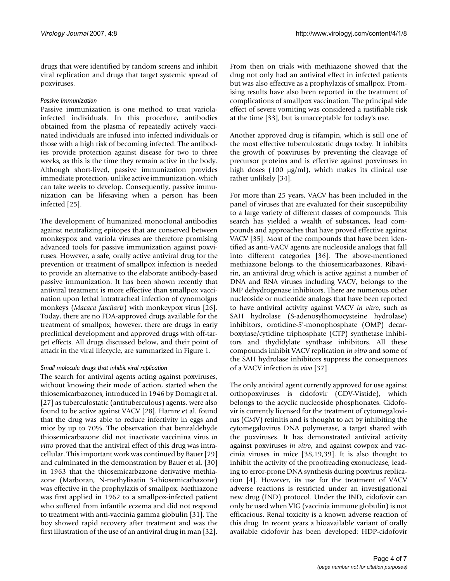drugs that were identified by random screens and inhibit viral replication and drugs that target systemic spread of poxviruses.

### *Passive Immunization*

Passive immunization is one method to treat variolainfected individuals. In this procedure, antibodies obtained from the plasma of repeatedly actively vaccinated individuals are infused into infected individuals or those with a high risk of becoming infected. The antibodies provide protection against disease for two to three weeks, as this is the time they remain active in the body. Although short-lived, passive immunization provides immediate protection, unlike active immunization, which can take weeks to develop. Consequently, passive immunization can be lifesaving when a person has been infected [25].

The development of humanized monoclonal antibodies against neutralizing epitopes that are conserved between monkeypox and variola viruses are therefore promising advanced tools for passive immunization against poxviruses. However, a safe, orally active antiviral drug for the prevention or treatment of smallpox infection is needed to provide an alternative to the elaborate antibody-based passive immunization. It has been shown recently that antiviral treatment is more effective than smallpox vaccination upon lethal intratracheal infection of cynomolgus monkeys (*Macaca fascilaris*) with monkeypox virus [26]. Today, there are no FDA-approved drugs available for the treatment of smallpox; however, there are drugs in early preclinical development and approved drugs with off-target effects. All drugs discussed below, and their point of attack in the viral lifecycle, are summarized in Figure 1.

### *Small molecule drugs that inhibit viral replication*

The search for antiviral agents acting against poxviruses, without knowing their mode of action, started when the thiosemicarbazones, introduced in 1946 by Domagk et al. [27] as tuberculostatic (antituberculous) agents, were also found to be active against VACV [28]. Hamre et al. found that the drug was able to reduce infectivity in eggs and mice by up to 70%. The observation that benzaldehyde thiosemicarbazone did not inactivate vaccinina virus *in vitro* proved that the antiviral effect of this drug was intracellular. This important work was continued by Bauer [29] and culminated in the demonstration by Bauer et al. [30] in 1963 that the thiosemicarbazone derivative methiazone (Marboran, N-methylisatin 3-thiosemicarbazone) was effective in the prophylaxis of smallpox. Methiazone was first applied in 1962 to a smallpox-infected patient who suffered from infantile eczema and did not respond to treatment with anti-vaccinia gamma globulin [31]. The boy showed rapid recovery after treatment and was the first illustration of the use of an antiviral drug in man [32].

From then on trials with methiazone showed that the drug not only had an antiviral effect in infected patients but was also effective as a prophylaxis of smallpox. Promising results have also been reported in the treatment of complications of smallpox vaccination. The principal side effect of severe vomiting was considered a justifiable risk at the time [33], but is unacceptable for today's use.

Another approved drug is rifampin, which is still one of the most effective tuberculostatic drugs today. It inhibits the growth of poxviruses by preventing the cleavage of precursor proteins and is effective against poxviruses in high doses (100 µg/ml), which makes its clinical use rather unlikely [34].

For more than 25 years, VACV has been included in the panel of viruses that are evaluated for their susceptibility to a large variety of different classes of compounds. This search has yielded a wealth of substances, lead compounds and approaches that have proved effective against VACV [35]. Most of the compounds that have been identified as anti-VACV agents are nucleoside analogs that fall into different categories [36]. The above-mentioned methiazone belongs to the thiosemicarbazones. Ribavirin, an antiviral drug which is active against a number of DNA and RNA viruses including VACV, belongs to the IMP dehydrogenase inhibitors. There are numerous other nucleoside or nucleotide analogs that have been reported to have antiviral activity against VACV *in vitro*, such as SAH hydrolase (S-adenosylhomocysteine hydrolase) inhibitors, orotidine-5'-monophosphate (OMP) decarboxylase/cytidine triphosphate (CTP) synthetase inhibitors and thydidylate synthase inhibitors. All these compounds inhibit VACV replication *in vitro* and some of the SAH hydrolase inhibitors suppress the consequences of a VACV infection *in vivo* [37].

The only antiviral agent currently approved for use against orthopoxviruses is cidofovir (CDV-Vistide), which belongs to the acyclic nucleoside phosphonates. Cidofovir is currently licensed for the treatment of cytomegalovirus (CMV) retinitis and is thought to act by inhibiting the cytomegalovirus DNA polymerase, a target shared with the poxviruses. It has demonstrated antiviral activity against poxviruses *in vitro*, and against cowpox and vaccinia viruses in mice [38,19,39]. It is also thought to inhibit the activity of the proofreading exonuclease, leading to error-prone DNA synthesis during poxvirus replication [4]. However, its use for the treatment of VACV adverse reactions is restricted under an investigational new drug (IND) protocol. Under the IND, cidofovir can only be used when VIG (vaccinia immune globulin) is not efficacious. Renal toxicity is a known adverse reaction of this drug. In recent years a bioavailable variant of orally available cidofovir has been developed: HDP-cidofovir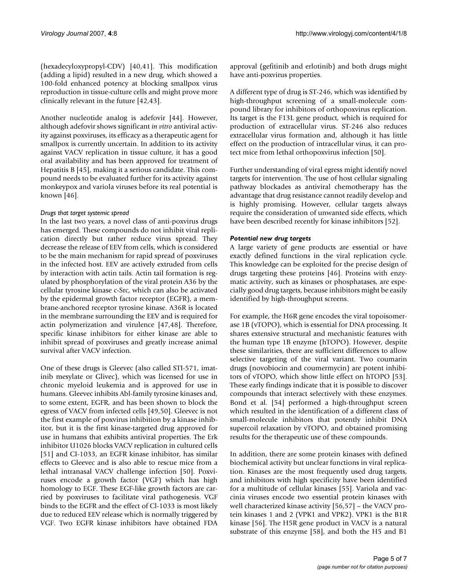(hexadecyloxypropyl-CDV) [40,41]. This modification (adding a lipid) resulted in a new drug, which showed a 100-fold enhanced potency at blocking smallpox virus reproduction in tissue-culture cells and might prove more clinically relevant in the future [42,43].

Another nucleotide analog is adefovir [44]. However, although adefovir shows significant *in vitro* antiviral activity against poxviruses, its efficacy as a therapeutic agent for smallpox is currently uncertain. In addition to its activity against VACV replication in tissue culture, it has a good oral availability and has been approved for treatment of Hepatitis B [45], making it a serious candidate. This compound needs to be evaluated further for its activity against monkeypox and variola viruses before its real potential is known [46].

## *Drugs that target systemic spread*

In the last two years, a novel class of anti-poxvirus drugs has emerged. These compounds do not inhibit viral replication directly but rather reduce virus spread. They decrease the release of EEV from cells, which is considered to be the main mechanism for rapid spread of poxviruses in the infected host. EEV are actively extruded from cells by interaction with actin tails. Actin tail formation is regulated by phosphorylation of the viral protein A36 by the cellular tyrosine kinase c-Src, which can also be activated by the epidermal growth factor receptor (EGFR), a membrane-anchored receptor tyrosine kinase. A36R is located in the membrane surrounding the EEV and is required for actin polymerization and virulence [47,48]. Therefore, specific kinase inhibitors for either kinase are able to inhibit spread of poxviruses and greatly increase animal survival after VACV infection.

One of these drugs is Gleevec (also called STI-571, imatinib mesylate or Glivec), which was licensed for use in chronic myeloid leukemia and is approved for use in humans. Gleevec inhibits Abl-family tyrosine kinases and, to some extent, EGFR, and has been shown to block the egress of VACV from infected cells [49,50]. Gleevec is not the first example of poxvirus inhibition by a kinase inhibitor, but it is the first kinase-targeted drug approved for use in humans that exhibits antiviral properties. The Erk inhibitor U1026 blocks VACV replication in cultured cells [51] and CI-1033, an EGFR kinase inhibitor, has similar effects to Gleevec and is also able to rescue mice from a lethal intranasal VACV challenge infection [50]. Poxviruses encode a growth factor (VGF) which has high homology to EGF. These EGF-like growth factors are carried by poxviruses to facilitate viral pathogenesis. VGF binds to the EGFR and the effect of Cl-1033 is most likely due to reduced EEV release which is normally triggered by VGF. Two EGFR kinase inhibitors have obtained FDA

approval (gefitinib and erlotinib) and both drugs might have anti-poxvirus properties.

A different type of drug is ST-246, which was identified by high-throughput screening of a small-molecule compound library for inhibitors of orthopoxvirus replication. Its target is the F13L gene product, which is required for production of extracellular virus. ST-246 also reduces extracellular virus formation and, although it has little effect on the production of intracellular virus, it can protect mice from lethal orthopoxvirus infection [50].

Further understanding of viral egress might identify novel targets for intervention. The use of host cellular signaling pathway blockades as antiviral chemotherapy has the advantage that drug resistance cannot readily develop and is highly promising. However, cellular targets always require the consideration of unwanted side effects, which have been described recently for kinase inhibitors [52].

# *Potential new drug targets*

A large variety of gene products are essential or have exactly defined functions in the viral replication cycle. This knowledge can be exploited for the precise design of drugs targeting these proteins [46]. Proteins with enzymatic activity, such as kinases or phosphatases, are especially good drug targets, because inhibitors might be easily identified by high-throughput screens.

For example, the H6R gene encodes the viral topoisomerase 1B (vTOPO), which is essential for DNA processing. It shares extensive structural and mechanistic features with the human type 1B enzyme (hTOPO). However, despite these similarities, there are sufficient differences to allow selective targeting of the viral variant. Two coumarin drugs (novobiocin and coumermycin) are potent inhibitors of vTOPO, which show little effect on hTOPO [53]. These early findings indicate that it is possible to discover compounds that interact selectively with these enzymes. Bond et al. [54] performed a high-throughput screen which resulted in the identification of a different class of small-molecule inhibitors that potently inhibit DNA supercoil relaxation by vTOPO, and obtained promising results for the therapeutic use of these compounds.

In addition, there are some protein kinases with defined biochemical activity but unclear functions in viral replication. Kinases are the most frequently used drug targets, and inhibitors with high specificity have been identified for a multitude of cellular kinases [55]. Variola and vaccinia viruses encode two essential protein kinases with well characterized kinase activity [56,57] – the VACV protein kinases 1 and 2 (VPK1 and VPK2). VPK1 is the B1R kinase [56]. The H5R gene product in VACV is a natural substrate of this enzyme [58], and both the H5 and B1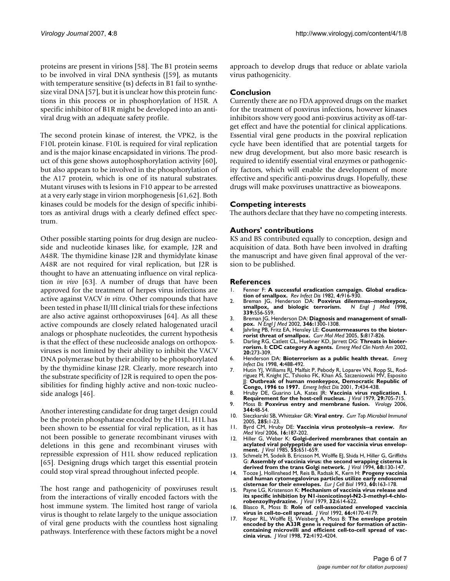proteins are present in virions [58]. The B1 protein seems to be involved in viral DNA synthesis ([59], as mutants with temperature sensitive (ts) defects in B1 fail to synthesize viral DNA [57], but it is unclear how this protein functions in this process or in phosphorylation of H5R. A specific inhibitor of B1R might be developed into an antiviral drug with an adequate safety profile.

The second protein kinase of interest, the VPK2, is the F10L protein kinase. F10L is required for viral replication and is the major kinase encapsidated in virions. The product of this gene shows autophosphorylation activity [60], but also appears to be involved in the phosphorylation of the A17 protein, which is one of its natural substrates. Mutant viruses with ts lesions in F10 appear to be arrested at a very early stage in virion morphogenesis [61,62]. Both kinases could be models for the design of specific inhibitors as antiviral drugs with a clearly defined effect spectrum.

Other possible starting points for drug design are nucleoside and nucleotide kinases like, for example, J2R and A48R. The thymidine kinase J2R and thymidylate kinase A48R are not required for viral replication, but J2R is thought to have an attenuating influence on viral replication *in vivo* [63]. A number of drugs that have been approved for the treatment of herpes virus infections are active against VACV *in vitro*. Other compounds that have been tested in phase II/III clinical trials for these infections are also active against orthopoxviruses [64]. As all these active compounds are closely related halogenated uracil analogs or phosphate nucleotides, the current hypothesis is that the effect of these nucleoside analogs on orthopoxviruses is not limited by their ability to inhibit the VACV DNA polymerase but by their ability to be phosphorylated by the thymidine kinase J2R. Clearly, more research into the substrate specificity of J2R is required to open the possibilities for finding highly active and non-toxic nucleoside analogs [46].

Another interesting candidate for drug target design could be the protein phosphatase encoded by the H1L. H1L has been shown to be essential for viral replication, as it has not been possible to generate recombinant viruses with deletions in this gene and recombinant viruses with repressible expression of H1L show reduced replication [65]. Designing drugs which target this essential protein could stop viral spread throughout infected people.

The host range and pathogenicity of poxviruses result from the interactions of virally encoded factors with the host immune system. The limited host range of variola virus is thought to relate largely to the unique association of viral gene products with the countless host signaling pathways. Interference with these factors might be a novel

approach to develop drugs that reduce or ablate variola virus pathogenicity.

## **Conclusion**

Currently there are no FDA approved drugs on the market for the treatment of poxvirus infections, however kinases inhibitors show very good anti-poxvirus activity as off-target effect and have the potential for clinical applications. Essential viral gene products in the poxviral replication cycle have been identified that are potential targets for new drug development, but also more basic research is required to identify essential viral enzymes or pathogenicity factors, which will enable the development of more effective and specific anti-poxvirus drugs. Hopefully, these drugs will make poxviruses unattractive as bioweapons.

## **Competing interests**

The authors declare that they have no competing interests.

## **Authors' contributions**

KS and BS contributed equally to conception, design and acquisition of data. Both have been involved in drafting the manuscript and have given final approval of the version to be published.

#### **References**

- 1. Fenner F: **[A successful eradication campaign. Global eradica](http://www.ncbi.nlm.nih.gov/entrez/query.fcgi?cmd=Retrieve&db=PubMed&dopt=Abstract&list_uids=6293036)[tion of smallpox.](http://www.ncbi.nlm.nih.gov/entrez/query.fcgi?cmd=Retrieve&db=PubMed&dopt=Abstract&list_uids=6293036)** *Rev Infect Dis* 1982, **4:**916-930.
- 2. Breman JG, Henderson DA: **[Poxvirus dilemmas--monkeypox,](http://www.ncbi.nlm.nih.gov/entrez/query.fcgi?cmd=Retrieve&db=PubMed&dopt=Abstract&list_uids=9709051)** [smallpox, and biologic terrorism.](http://www.ncbi.nlm.nih.gov/entrez/query.fcgi?cmd=Retrieve&db=PubMed&dopt=Abstract&list_uids=9709051) **339:**556-559.
- 3. Breman JG, Henderson DA: **[Diagnosis and management of small](http://www.ncbi.nlm.nih.gov/entrez/query.fcgi?cmd=Retrieve&db=PubMed&dopt=Abstract&list_uids=11923491)[pox.](http://www.ncbi.nlm.nih.gov/entrez/query.fcgi?cmd=Retrieve&db=PubMed&dopt=Abstract&list_uids=11923491)** *N Engl J Med* 2002, **346:**1300-1308.
- 4. Jahrling PB, Fritz EA, Hensley LE: **[Countermeasures to the bioter](http://www.ncbi.nlm.nih.gov/entrez/query.fcgi?cmd=Retrieve&db=PubMed&dopt=Abstract&list_uids=16375715)[rorist threat of smallpox.](http://www.ncbi.nlm.nih.gov/entrez/query.fcgi?cmd=Retrieve&db=PubMed&dopt=Abstract&list_uids=16375715)** *Curr Mol Med* 2005, **5:**817-826. 5. Darling RG, Catlett CL, Huebner KD, Jarrett DG: **[Threats in bioter-](http://www.ncbi.nlm.nih.gov/entrez/query.fcgi?cmd=Retrieve&db=PubMed&dopt=Abstract&list_uids=12120480)**
- **[rorism. I: CDC category A agents.](http://www.ncbi.nlm.nih.gov/entrez/query.fcgi?cmd=Retrieve&db=PubMed&dopt=Abstract&list_uids=12120480)** *Emerg Med Clin North Am* 2002, **20:**273-309.
- 6. Henderson DA: **[Bioterrorism as a public health threat.](http://www.ncbi.nlm.nih.gov/entrez/query.fcgi?cmd=Retrieve&db=PubMed&dopt=Abstract&list_uids=9716981)** *Emerg Infect Dis* 1998, **4:**488-492.
- 7. Hutin YJ, Williams RJ, Malfait P, Pebody R, Loparev VN, Ropp SL, Rod-riguez M, Knight JC, Tshioko FK, Khan AS, Szczeniowski MV, Esposito JJ: **[Outbreak of human monkeypox, Democratic Republic of](http://www.ncbi.nlm.nih.gov/entrez/query.fcgi?cmd=Retrieve&db=PubMed&dopt=Abstract&list_uids=11384521) [Congo, 1996 to 1997.](http://www.ncbi.nlm.nih.gov/entrez/query.fcgi?cmd=Retrieve&db=PubMed&dopt=Abstract&list_uids=11384521)** *Emerg Infect Dis* 2001, **7:**434-438.
- 8. Hruby DE, Guarino LA, Kates JR: **[Vaccinia virus replication. I.](http://www.ncbi.nlm.nih.gov/entrez/query.fcgi?cmd=Retrieve&db=PubMed&dopt=Abstract&list_uids=107327) [Requirement for the host-cell nucleus.](http://www.ncbi.nlm.nih.gov/entrez/query.fcgi?cmd=Retrieve&db=PubMed&dopt=Abstract&list_uids=107327)** *J Virol* 1979, **29:**705-715.
- 9. Moss B: **[Poxvirus entry and membrane fusion.](http://www.ncbi.nlm.nih.gov/entrez/query.fcgi?cmd=Retrieve&db=PubMed&dopt=Abstract&list_uids=16364735)** *Virology* 2006, **344:**48-54.
- 10. Sieczkarski SB, Whittaker GR: **[Viral entry.](http://www.ncbi.nlm.nih.gov/entrez/query.fcgi?cmd=Retrieve&db=PubMed&dopt=Abstract&list_uids=15609499)** *Curr Top Microbiol Immunol* 2005, **285:**1-23.
- 11. Byrd CM, Hruby DE: **[Vaccinia virus proteolysis--a review.](http://www.ncbi.nlm.nih.gov/entrez/query.fcgi?cmd=Retrieve&db=PubMed&dopt=Abstract&list_uids=16710840)** *Rev Med Virol* 2006, **16:**187-202.
- 12. Hiller G, Weber K: **[Golgi-derived membranes that contain an](http://www.ncbi.nlm.nih.gov/entrez/query.fcgi?cmd=Retrieve&db=PubMed&dopt=Abstract&list_uids=4020961) [acylated viral polypeptide are used for vaccinia virus envelop](http://www.ncbi.nlm.nih.gov/entrez/query.fcgi?cmd=Retrieve&db=PubMed&dopt=Abstract&list_uids=4020961)[ment.](http://www.ncbi.nlm.nih.gov/entrez/query.fcgi?cmd=Retrieve&db=PubMed&dopt=Abstract&list_uids=4020961)** *J Virol* 1985, **55:**651-659.
- 13. Schmelz M, Sodeik B, Ericsson M, Wolffe EJ, Shida H, Hiller G, Griffiths G: **[Assembly of vaccinia virus: the second wrapping cisterna is](http://www.ncbi.nlm.nih.gov/entrez/query.fcgi?cmd=Retrieve&db=PubMed&dopt=Abstract&list_uids=8254722) [derived from the trans Golgi network.](http://www.ncbi.nlm.nih.gov/entrez/query.fcgi?cmd=Retrieve&db=PubMed&dopt=Abstract&list_uids=8254722)** *J Virol* 1994, **68:**130-147.
- 14. Tooze J, Hollinshead M, Reis B, Radsak K, Kern H: **[Progeny vaccinia](http://www.ncbi.nlm.nih.gov/entrez/query.fcgi?cmd=Retrieve&db=PubMed&dopt=Abstract&list_uids=8385018) [and human cytomegalovirus particles utilize early endosomal](http://www.ncbi.nlm.nih.gov/entrez/query.fcgi?cmd=Retrieve&db=PubMed&dopt=Abstract&list_uids=8385018)**
- **[cisternae for their envelopes.](http://www.ncbi.nlm.nih.gov/entrez/query.fcgi?cmd=Retrieve&db=PubMed&dopt=Abstract&list_uids=8385018)** *Eur J Cell Biol* 1993, **60:**163-178. 15. Payne LG, Kristenson K: **[Mechanism of vaccinia virus release and](http://www.ncbi.nlm.nih.gov/entrez/query.fcgi?cmd=Retrieve&db=PubMed&dopt=Abstract&list_uids=501802) [its specific inhibition by N1-isonicotinoyl-N2-3-methyl-4-chlo-](http://www.ncbi.nlm.nih.gov/entrez/query.fcgi?cmd=Retrieve&db=PubMed&dopt=Abstract&list_uids=501802)[robenzoylhydrazine.](http://www.ncbi.nlm.nih.gov/entrez/query.fcgi?cmd=Retrieve&db=PubMed&dopt=Abstract&list_uids=501802)** *J Virol* 1979, **32:**614-622.
- 16. Blasco R, Moss B: **[Role of cell-associated enveloped vaccinia](http://www.ncbi.nlm.nih.gov/entrez/query.fcgi?cmd=Retrieve&db=PubMed&dopt=Abstract&list_uids=1602540)**
- **[virus in cell-to-cell spread.](http://www.ncbi.nlm.nih.gov/entrez/query.fcgi?cmd=Retrieve&db=PubMed&dopt=Abstract&list_uids=1602540)** *J Virol* 1992, **66:**4170-4179. 17. Roper RL, Wolffe EJ, Weisberg A, Moss B: **[The envelope protein](http://www.ncbi.nlm.nih.gov/entrez/query.fcgi?cmd=Retrieve&db=PubMed&dopt=Abstract&list_uids=9557708) encoded by the A33R gene is required for formation of actin[containing microvilli and efficient cell-to-cell spread of vac](http://www.ncbi.nlm.nih.gov/entrez/query.fcgi?cmd=Retrieve&db=PubMed&dopt=Abstract&list_uids=9557708)[cinia virus.](http://www.ncbi.nlm.nih.gov/entrez/query.fcgi?cmd=Retrieve&db=PubMed&dopt=Abstract&list_uids=9557708)** *J Virol* 1998, **72:**4192-4204.